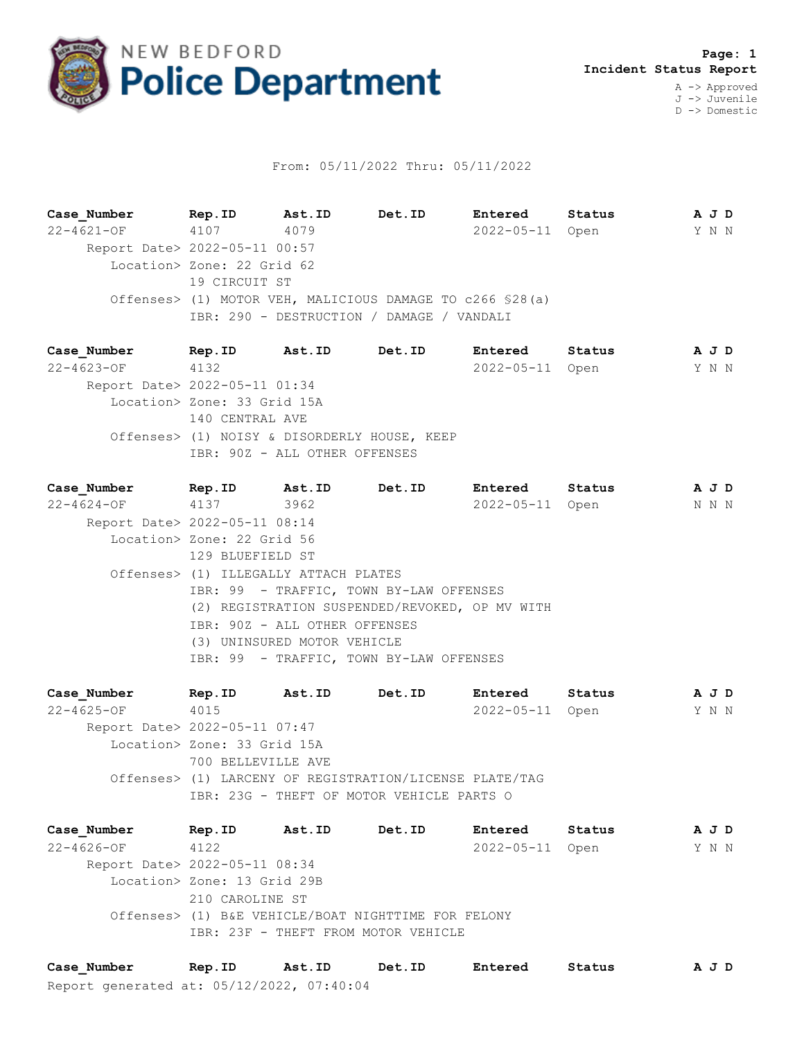

## From: 05/11/2022 Thru: 05/11/2022

**Case\_Number Rep.ID Ast.ID Det.ID Entered Status A J D** 22-4621-OF 4107 4079 2022-05-11 Open Y N N Report Date> 2022-05-11 00:57 Location> Zone: 22 Grid 62 19 CIRCUIT ST Offenses> (1) MOTOR VEH, MALICIOUS DAMAGE TO c266 §28(a) IBR: 290 - DESTRUCTION / DAMAGE / VANDALI

**Case\_Number Rep.ID Ast.ID Det.ID Entered Status A J D** 22-4623-OF 4132 2022-05-11 Open Y N N Report Date> 2022-05-11 01:34 Location> Zone: 33 Grid 15A 140 CENTRAL AVE Offenses> (1) NOISY & DISORDERLY HOUSE, KEEP IBR: 90Z - ALL OTHER OFFENSES

**Case\_Number Rep.ID Ast.ID Det.ID Entered Status A J D** 22-4624-OF 4137 3962 2022-05-11 Open N N N Report Date> 2022-05-11 08:14 Location> Zone: 22 Grid 56 129 BLUEFIELD ST Offenses> (1) ILLEGALLY ATTACH PLATES IBR: 99 - TRAFFIC, TOWN BY-LAW OFFENSES (2) REGISTRATION SUSPENDED/REVOKED, OP MV WITH IBR: 90Z - ALL OTHER OFFENSES (3) UNINSURED MOTOR VEHICLE IBR: 99 - TRAFFIC, TOWN BY-LAW OFFENSES

**Case\_Number Rep.ID Ast.ID Det.ID Entered Status A J D** 22-4625-OF 4015 2022-05-11 Open Y N N Report Date> 2022-05-11 07:47 Location> Zone: 33 Grid 15A 700 BELLEVILLE AVE Offenses> (1) LARCENY OF REGISTRATION/LICENSE PLATE/TAG IBR: 23G - THEFT OF MOTOR VEHICLE PARTS O

**Case\_Number Rep.ID Ast.ID Det.ID Entered Status A J D** 22-4626-OF 4122 2022-05-11 Open Y N N Report Date> 2022-05-11 08:34 Location> Zone: 13 Grid 29B 210 CAROLINE ST Offenses> (1) B&E VEHICLE/BOAT NIGHTTIME FOR FELONY IBR: 23F - THEFT FROM MOTOR VEHICLE

Report generated at: 05/12/2022, 07:40:04 **Case\_Number Rep.ID Ast.ID Det.ID Entered Status A J D**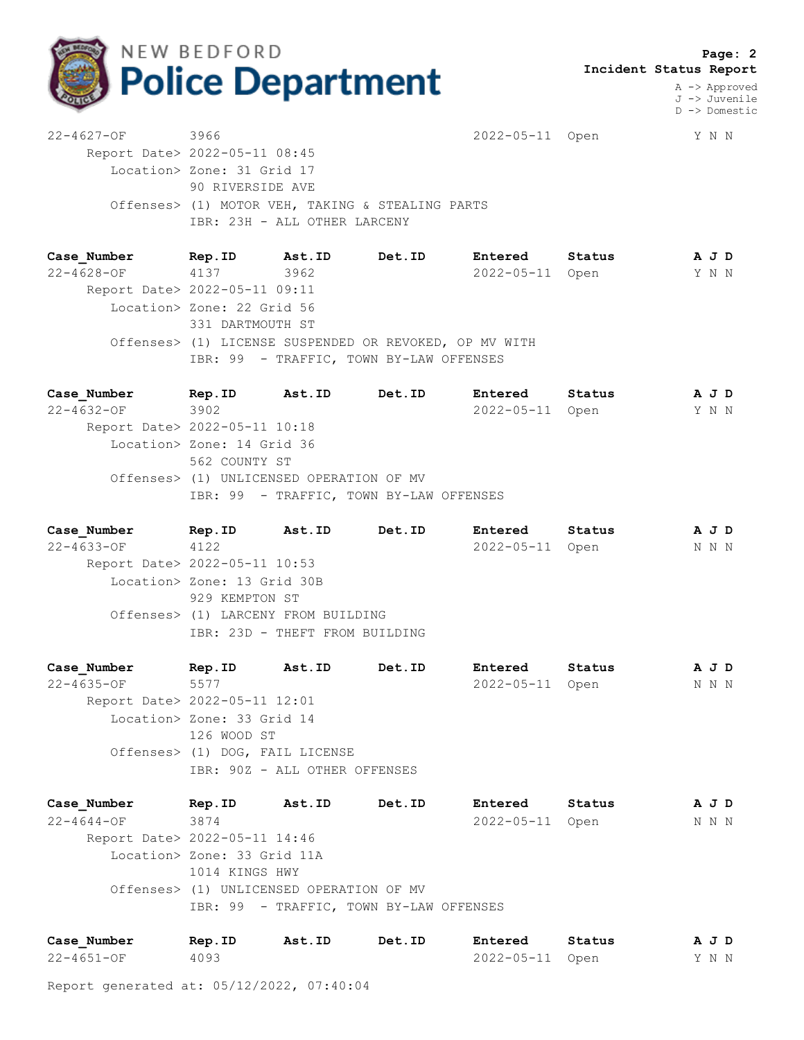

 **Page: 2 Incident Status Report**

> A -> Approved J -> Juvenile D -> Domestic

22-4627-OF 3966 2022-05-11 Open Y N N Report Date> 2022-05-11 08:45 Location> Zone: 31 Grid 17 90 RIVERSIDE AVE Offenses> (1) MOTOR VEH, TAKING & STEALING PARTS IBR: 23H - ALL OTHER LARCENY

**Case\_Number Rep.ID Ast.ID Det.ID Entered Status A J D** 22-4628-OF 4137 3962 2022-05-11 Open Y N N Report Date> 2022-05-11 09:11 Location> Zone: 22 Grid 56 331 DARTMOUTH ST Offenses> (1) LICENSE SUSPENDED OR REVOKED, OP MV WITH IBR: 99 - TRAFFIC, TOWN BY-LAW OFFENSES

**Case\_Number Rep.ID Ast.ID Det.ID Entered Status A J D** 22-4632-OF 3902 2022-05-11 Open Y N N Report Date> 2022-05-11 10:18 Location> Zone: 14 Grid 36 562 COUNTY ST Offenses> (1) UNLICENSED OPERATION OF MV IBR: 99 - TRAFFIC, TOWN BY-LAW OFFENSES

**Case\_Number Rep.ID Ast.ID Det.ID Entered Status A J D** 22-4633-OF 4122 2022-05-11 Open N N N Report Date> 2022-05-11 10:53 Location> Zone: 13 Grid 30B 929 KEMPTON ST Offenses> (1) LARCENY FROM BUILDING IBR: 23D - THEFT FROM BUILDING

**Case\_Number Rep.ID Ast.ID Det.ID Entered Status A J D** 22-4635-OF 5577 2022-05-11 Open N N N Report Date> 2022-05-11 12:01 Location> Zone: 33 Grid 14 126 WOOD ST Offenses> (1) DOG, FAIL LICENSE IBR: 90Z - ALL OTHER OFFENSES

**Case\_Number Rep.ID Ast.ID Det.ID Entered Status A J D** 22-4644-OF 3874 2022-05-11 Open N N N Report Date> 2022-05-11 14:46 Location> Zone: 33 Grid 11A 1014 KINGS HWY Offenses> (1) UNLICENSED OPERATION OF MV IBR: 99 - TRAFFIC, TOWN BY-LAW OFFENSES

| Case Number | Rep.ID | Ast.ID | Det.ID | Entered         | Status | AJD   |  |  |
|-------------|--------|--------|--------|-----------------|--------|-------|--|--|
| 22-4651-OF  | 4093   |        |        | 2022-05-11 Open |        | Y N N |  |  |